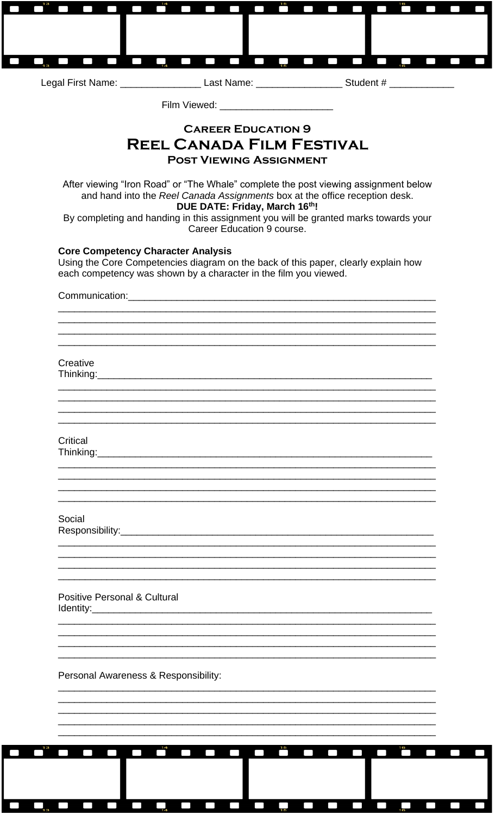| 13                  |   |  |            |  |  |           |  |     |  |
|---------------------|---|--|------------|--|--|-----------|--|-----|--|
|                     | . |  |            |  |  |           |  |     |  |
|                     |   |  |            |  |  |           |  |     |  |
|                     |   |  |            |  |  |           |  |     |  |
|                     |   |  |            |  |  |           |  |     |  |
|                     |   |  |            |  |  |           |  |     |  |
|                     |   |  |            |  |  |           |  |     |  |
|                     |   |  |            |  |  |           |  |     |  |
|                     |   |  |            |  |  |           |  | . . |  |
|                     |   |  |            |  |  |           |  |     |  |
|                     |   |  |            |  |  |           |  |     |  |
| Legal First Name: _ |   |  | Last Name: |  |  | Student # |  |     |  |

| Film Viewed: |
|--------------|
|--------------|

## **CAREER EDUCATION 9 REEL CANADA FILM FESTIVAL POST VIEWING ASSIGNMENT**

After viewing "Iron Road" or "The Whale" complete the post viewing assignment below and hand into the Reel Canada Assignments box at the office reception desk. DUE DATE: Friday, March 16th!

By completing and handing in this assignment you will be granted marks towards your Career Education 9 course.

## **Core Competency Character Analysis**

Using the Core Competencies diagram on the back of this paper, clearly explain how each competency was shown by a character in the film you viewed.

Communication:\_\_\_\_\_\_\_\_\_\_\_\_\_\_\_\_ 

 $\overline{16}$ 

 $\begin{array}{|c|c|c|c|c|}\n\hline\n\textbf{1} & \textbf{1} & \textbf{1} & \textbf{1} & \textbf{1} & \textbf{1} & \textbf{1} & \textbf{1} & \textbf{1} & \textbf{1} & \textbf{1} & \textbf{1} & \textbf{1} & \textbf{1} & \textbf{1} & \textbf{1} & \textbf{1} & \textbf{1} & \textbf{1} & \textbf{1} & \textbf{1} & \textbf{1} & \textbf{1} & \textbf{1} & \textbf{1} & \textbf{1} & \textbf{1} & \textbf{1} & \text$ 

Creative 

Critical Thinking:

Social 

**Positive Personal & Cultural** Identity:\_\_\_\_\_\_\_\_

Personal Awareness & Responsibility: